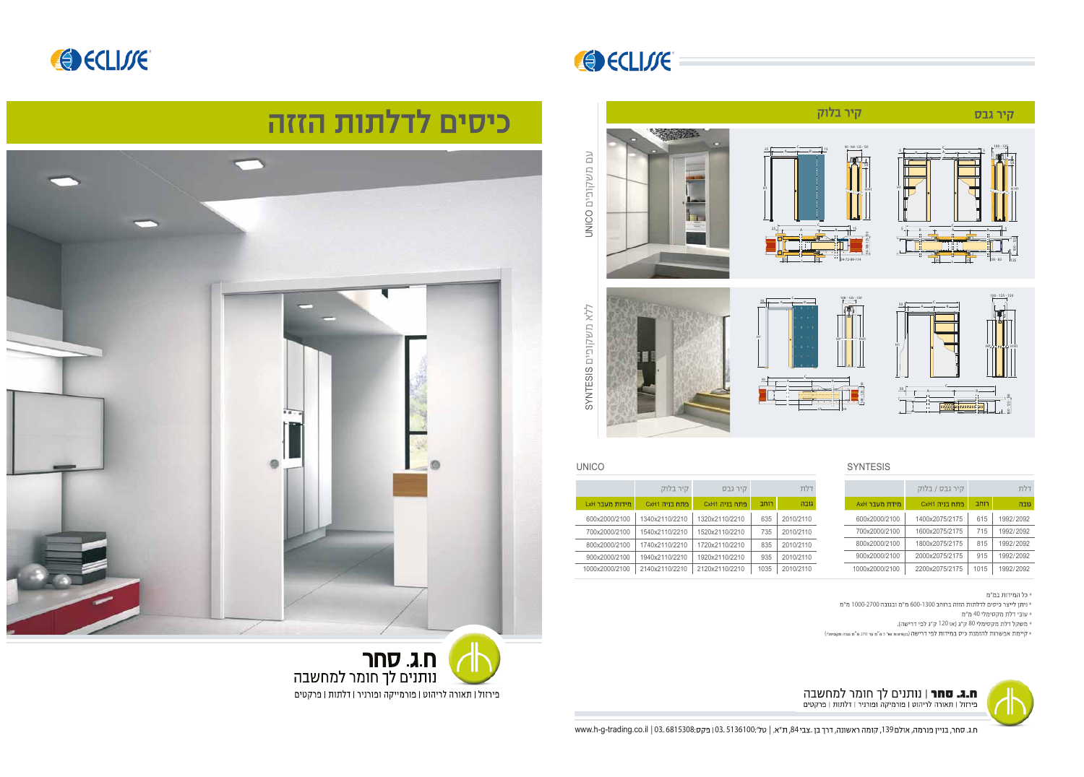



# כיסים לדלתות הזזה











| <b>UNICO</b>          |                |                |      |           | $-108 - 125 - 1$<br>90<br>54-72-89-114                 |                                                                                                                                                                                                                                                                                                                             | $\overline{25}$ | $\frac{125}{2}$<br>100<br>58 - 83<br>125      |
|-----------------------|----------------|----------------|------|-----------|--------------------------------------------------------|-----------------------------------------------------------------------------------------------------------------------------------------------------------------------------------------------------------------------------------------------------------------------------------------------------------------------------|-----------------|-----------------------------------------------|
| SYNTESIS D'DIJVUD X77 |                |                | 50   | 쁚         | $108 - 125 - 150$<br>H1<br>$\frac{1}{2}$ $\frac{1}{2}$ | $\blacksquare$<br>п                                                                                                                                                                                                                                                                                                         |                 | 100 - 125 - 150<br>$00 - 125 - 1$             |
| <b>UNICO</b>          |                |                |      |           | <b>SYNTESIS</b>                                        |                                                                                                                                                                                                                                                                                                                             |                 |                                               |
|                       | קיר בלוק       | קיר גבס        |      | דלת       |                                                        | קיר גבס / בלוק                                                                                                                                                                                                                                                                                                              |                 | דלת                                           |
| מידות מעבר LxH        | פתח בניה CxH1  | כתח בניה CxH1  | רוחב | גובה      | מידת מעבר AxH                                          | כתח בניה CxH1                                                                                                                                                                                                                                                                                                               | רוחב            | גובה                                          |
| 600x2000/2100         | 1340x2110/2210 | 1320x2110/2210 | 635  | 2010/2110 | 600x2000/2100                                          | 1400x2075/2175                                                                                                                                                                                                                                                                                                              | 615             | 1992/2092                                     |
| 700x2000/2100         | 1540x2110/2210 | 1520x2110/2210 | 735  | 2010/2110 | 700x2000/2100                                          | 1600x2075/2175                                                                                                                                                                                                                                                                                                              | 715             | 1992/2092                                     |
| 800x2000/2100         | 1740x2110/2210 | 1720x2110/2210 | 835  | 2010/2110 | 800x2000/2100                                          | 1800x2075/2175                                                                                                                                                                                                                                                                                                              | 815             | 1992/2092                                     |
| 900x2000/2100         | 1940x2110/2210 | 1920x2110/2210 | 935  | 2010/2110 | 900x2000/2100                                          | 2000x2075/2175                                                                                                                                                                                                                                                                                                              | 915             | 1992/2092                                     |
| 1000x2000/2100        | 2140x2110/2210 | 2120x2110/2210 | 1035 | 2010/2110 | 1000x2000/2100                                         | 2200x2075/2175                                                                                                                                                                                                                                                                                                              | 1015            | 1992/2092                                     |
|                       |                |                |      |           |                                                        | * ניתן לייצר כיסים לדלתות הזזה ברוחב 1300-600 מ"מ ובגובה 1000-2700 מ"מ<br>* משקל דלת מקסימלי 80 ק"ג (או 120 ק"ג לפי דרישה).<br>* קיימת אפשרות להזמנת כיס במידות לפי דרישה (בקפיצות של 5 0"מ עד 270 0"מ גובה מקסימלי)<br><b>ח.ג. סחר</b>   נותנים לך חומר למחשבה<br>פירזול   תאורה לריהוט   פורמיקה ופורניר   דלתות   פרקטים |                 | * כל המידות במ"מ<br>* עובי דלת מקסימלי 40 מ"מ |

### קיר בלוק

קיר גבס

### UNICO SYNTESIS